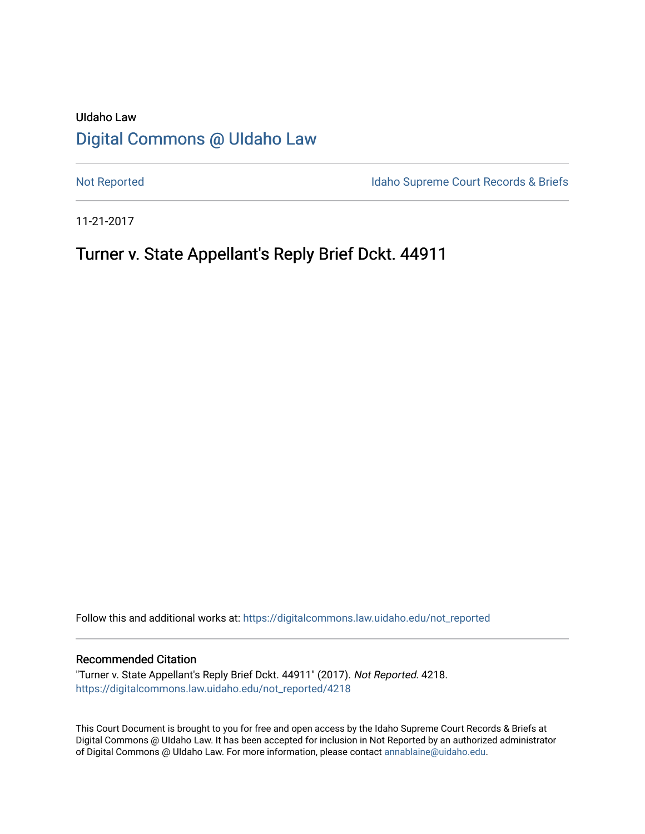# UIdaho Law [Digital Commons @ UIdaho Law](https://digitalcommons.law.uidaho.edu/)

[Not Reported](https://digitalcommons.law.uidaho.edu/not_reported) **Idaho Supreme Court Records & Briefs** 

11-21-2017

# Turner v. State Appellant's Reply Brief Dckt. 44911

Follow this and additional works at: [https://digitalcommons.law.uidaho.edu/not\\_reported](https://digitalcommons.law.uidaho.edu/not_reported?utm_source=digitalcommons.law.uidaho.edu%2Fnot_reported%2F4218&utm_medium=PDF&utm_campaign=PDFCoverPages) 

#### Recommended Citation

"Turner v. State Appellant's Reply Brief Dckt. 44911" (2017). Not Reported. 4218. [https://digitalcommons.law.uidaho.edu/not\\_reported/4218](https://digitalcommons.law.uidaho.edu/not_reported/4218?utm_source=digitalcommons.law.uidaho.edu%2Fnot_reported%2F4218&utm_medium=PDF&utm_campaign=PDFCoverPages)

This Court Document is brought to you for free and open access by the Idaho Supreme Court Records & Briefs at Digital Commons @ UIdaho Law. It has been accepted for inclusion in Not Reported by an authorized administrator of Digital Commons @ UIdaho Law. For more information, please contact [annablaine@uidaho.edu](mailto:annablaine@uidaho.edu).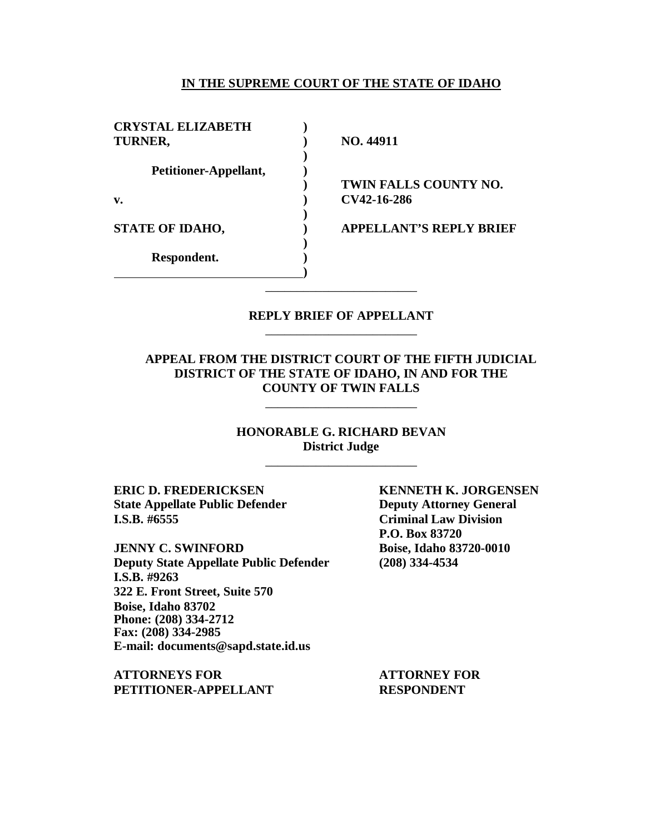### **IN THE SUPREME COURT OF THE STATE OF IDAHO**

| <b>CRYSTAL ELIZABETH</b> |                                |
|--------------------------|--------------------------------|
| TURNER,                  | NO. 44911                      |
|                          |                                |
| Petitioner-Appellant,    |                                |
|                          | TWIN FALLS COUNTY NO.          |
| $\mathbf{v}$ .           | CV42-16-286                    |
|                          |                                |
| <b>STATE OF IDAHO,</b>   | <b>APPELLANT'S REPLY BRIEF</b> |
|                          |                                |
| Respondent.              |                                |
|                          |                                |
|                          |                                |

### **REPLY BRIEF OF APPELLANT** \_\_\_\_\_\_\_\_\_\_\_\_\_\_\_\_\_\_\_\_\_\_\_\_

### **APPEAL FROM THE DISTRICT COURT OF THE FIFTH JUDICIAL DISTRICT OF THE STATE OF IDAHO, IN AND FOR THE COUNTY OF TWIN FALLS**

\_\_\_\_\_\_\_\_\_\_\_\_\_\_\_\_\_\_\_\_\_\_\_\_

**HONORABLE G. RICHARD BEVAN District Judge** \_\_\_\_\_\_\_\_\_\_\_\_\_\_\_\_\_\_\_\_\_\_\_\_

**ERIC D. FREDERICKSEN KENNETH K. JORGENSEN State Appellate Public Defender Deputy Attorney General I.S.B. #6555 Criminal Law Division**

**JENNY C. SWINFORD Boise, Idaho 83720-0010 Deputy State Appellate Public Defender (208) 334-4534 I.S.B. #9263 322 E. Front Street, Suite 570 Boise, Idaho 83702 Phone: (208) 334-2712 Fax: (208) 334-2985 E-mail: documents@sapd.state.id.us**

**ATTORNEYS FOR ATTORNEY FOR PETITIONER-APPELLANT RESPONDENT**

**P.O. Box 83720**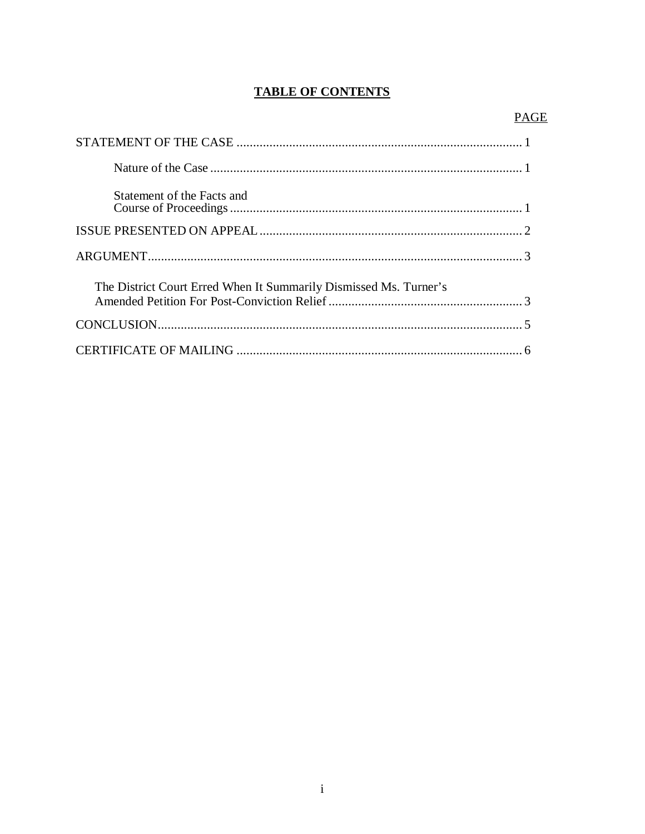# **TABLE OF CONTENTS**

| Statement of the Facts and                                        |  |
|-------------------------------------------------------------------|--|
|                                                                   |  |
|                                                                   |  |
| The District Court Erred When It Summarily Dismissed Ms. Turner's |  |
|                                                                   |  |
|                                                                   |  |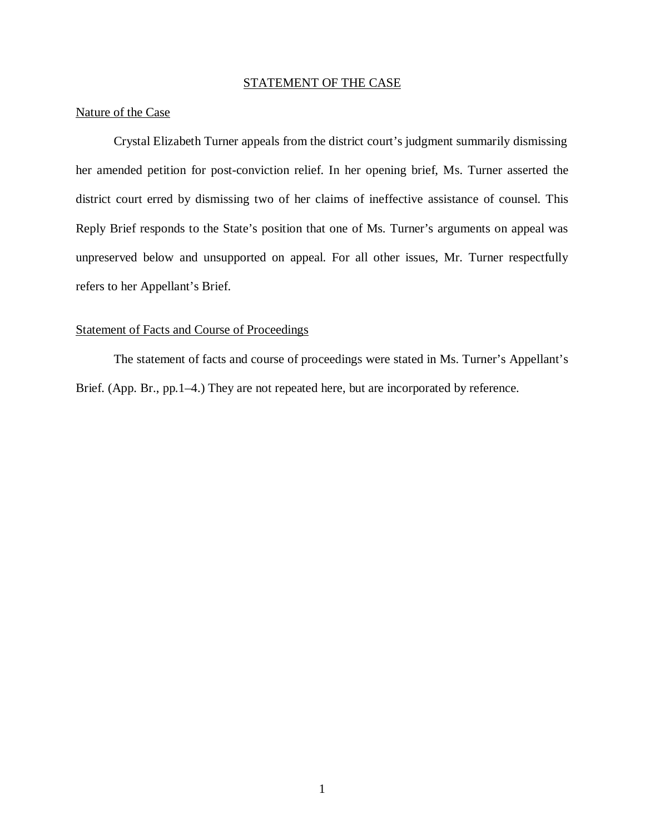## STATEMENT OF THE CASE

# Nature of the Case

Crystal Elizabeth Turner appeals from the district court's judgment summarily dismissing her amended petition for post-conviction relief. In her opening brief, Ms. Turner asserted the district court erred by dismissing two of her claims of ineffective assistance of counsel. This Reply Brief responds to the State's position that one of Ms. Turner's arguments on appeal was unpreserved below and unsupported on appeal. For all other issues, Mr. Turner respectfully refers to her Appellant's Brief.

### Statement of Facts and Course of Proceedings

The statement of facts and course of proceedings were stated in Ms. Turner's Appellant's Brief. (App. Br., pp. 1–4.) They are not repeated here, but are incorporated by reference.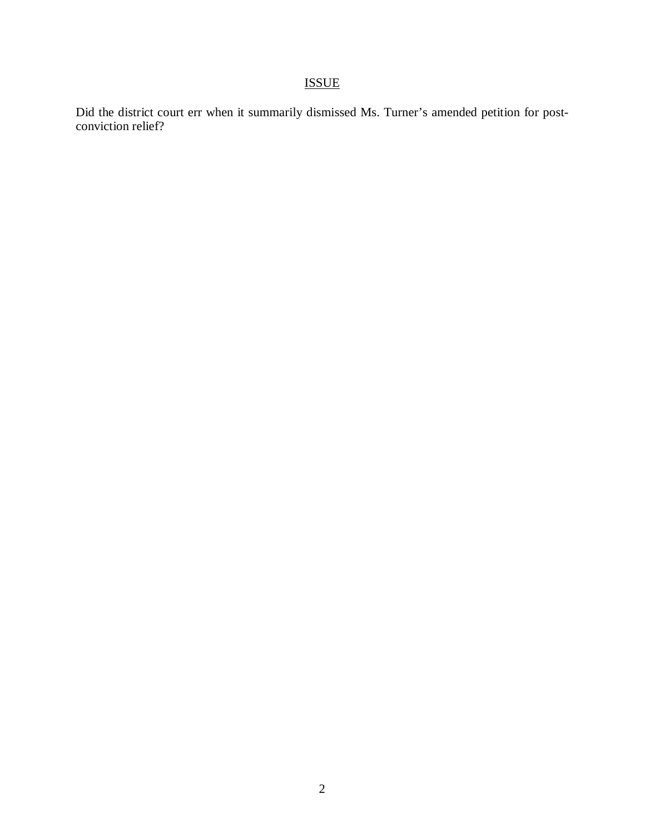# ISSUE

Did the district court err when it summarily dismissed Ms. Turner's amended petition for postconviction relief?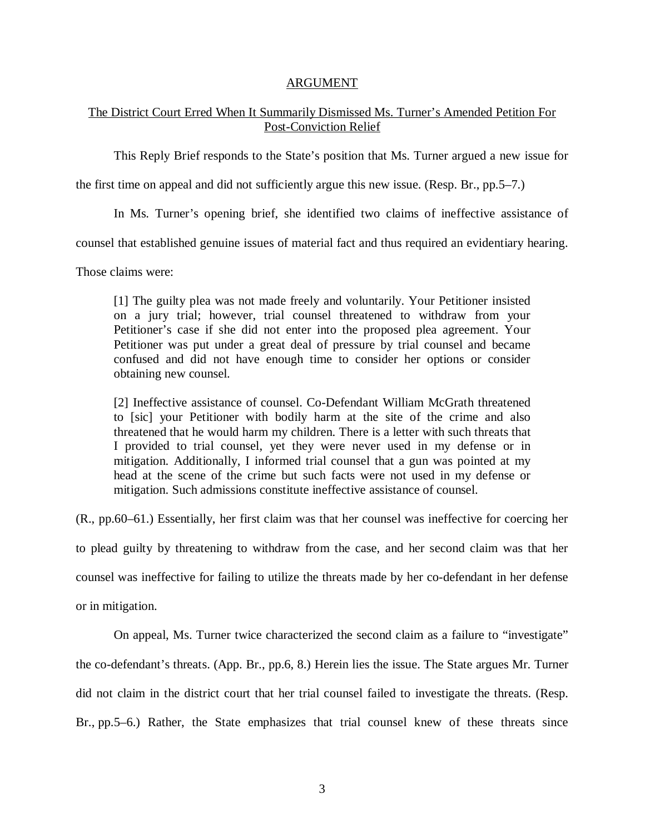### ARGUMENT

### The District Court Erred When It Summarily Dismissed Ms. Turner's Amended Petition For Post-Conviction Relief

This Reply Brief responds to the State's position that Ms. Turner argued a new issue for

the first time on appeal and did not sufficiently argue this new issue. (Resp. Br., pp.5–7.)

In Ms. Turner's opening brief, she identified two claims of ineffective assistance of

counsel that established genuine issues of material fact and thus required an evidentiary hearing.

Those claims were:

[1] The guilty plea was not made freely and voluntarily. Your Petitioner insisted on a jury trial; however, trial counsel threatened to withdraw from your Petitioner's case if she did not enter into the proposed plea agreement. Your Petitioner was put under a great deal of pressure by trial counsel and became confused and did not have enough time to consider her options or consider obtaining new counsel.

[2] Ineffective assistance of counsel. Co-Defendant William McGrath threatened to [sic] your Petitioner with bodily harm at the site of the crime and also threatened that he would harm my children. There is a letter with such threats that I provided to trial counsel, yet they were never used in my defense or in mitigation. Additionally, I informed trial counsel that a gun was pointed at my head at the scene of the crime but such facts were not used in my defense or mitigation. Such admissions constitute ineffective assistance of counsel.

(R., pp.60–61.) Essentially, her first claim was that her counsel was ineffective for coercing her

to plead guilty by threatening to withdraw from the case, and her second claim was that her

counsel was ineffective for failing to utilize the threats made by her co-defendant in her defense

or in mitigation.

On appeal, Ms. Turner twice characterized the second claim as a failure to "investigate" the co-defendant's threats. (App. Br., pp.6, 8.) Herein lies the issue. The State argues Mr. Turner did not claim in the district court that her trial counsel failed to investigate the threats. (Resp. Br., pp.5–6.) Rather, the State emphasizes that trial counsel knew of these threats since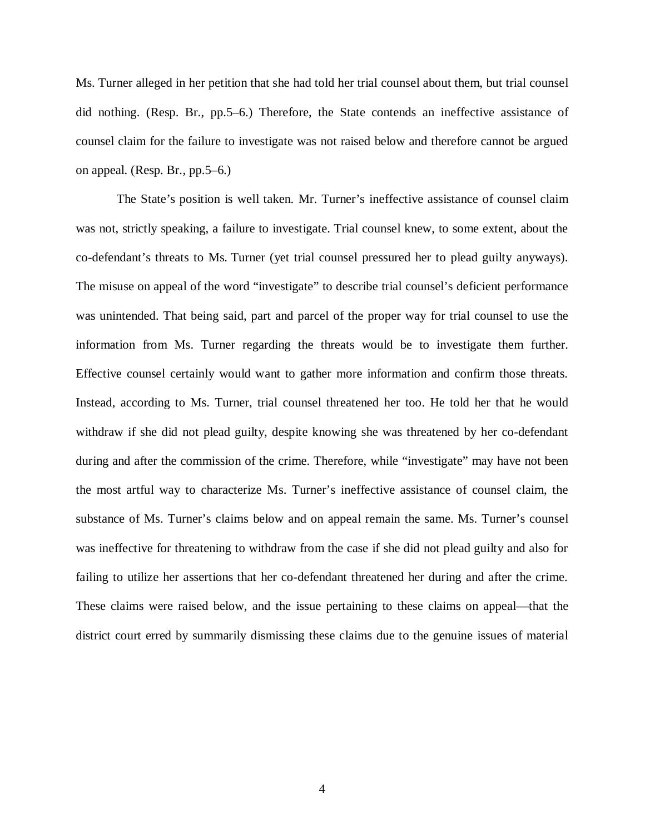Ms. Turner alleged in her petition that she had told her trial counsel about them, but trial counsel did nothing. (Resp. Br., pp.5–6.) Therefore, the State contends an ineffective assistance of counsel claim for the failure to investigate was not raised below and therefore cannot be argued on appeal. (Resp. Br., pp.5–6.)

 The State's position is well taken. Mr. Turner's ineffective assistance of counsel claim was not, strictly speaking, a failure to investigate. Trial counsel knew, to some extent, about the co-defendant's threats to Ms. Turner (yet trial counsel pressured her to plead guilty anyways). The misuse on appeal of the word "investigate" to describe trial counsel's deficient performance was unintended. That being said, part and parcel of the proper way for trial counsel to use the information from Ms. Turner regarding the threats would be to investigate them further. Effective counsel certainly would want to gather more information and confirm those threats. Instead, according to Ms. Turner, trial counsel threatened her too. He told her that he would withdraw if she did not plead guilty, despite knowing she was threatened by her co-defendant during and after the commission of the crime. Therefore, while "investigate" may have not been the most artful way to characterize Ms. Turner's ineffective assistance of counsel claim, the substance of Ms. Turner's claims below and on appeal remain the same. Ms. Turner's counsel was ineffective for threatening to withdraw from the case if she did not plead guilty and also for failing to utilize her assertions that her co-defendant threatened her during and after the crime. These claims were raised below, and the issue pertaining to these claims on appeal—that the district court erred by summarily dismissing these claims due to the genuine issues of material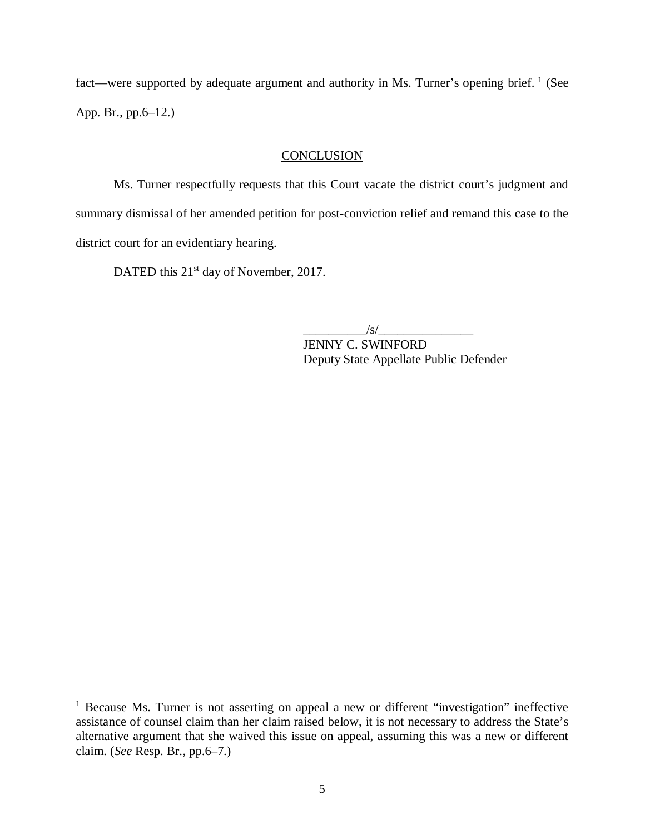fact—were supported by adequate argument and authority in Ms. Turner's opening brief. <sup>[1](#page-7-0)</sup> (See App. Br., pp.6–12.)

#### **CONCLUSION**

Ms. Turner respectfully requests that this Court vacate the district court's judgment and summary dismissal of her amended petition for post-conviction relief and remand this case to the district court for an evidentiary hearing.

DATED this 21<sup>st</sup> day of November, 2017.

 $\sqrt{s}/$ 

JENNY C. SWINFORD Deputy State Appellate Public Defender

<span id="page-7-0"></span><sup>&</sup>lt;sup>1</sup> Because Ms. Turner is not asserting on appeal a new or different "investigation" ineffective assistance of counsel claim than her claim raised below, it is not necessary to address the State's alternative argument that she waived this issue on appeal, assuming this was a new or different claim. (*See* Resp. Br., pp.6–7.)